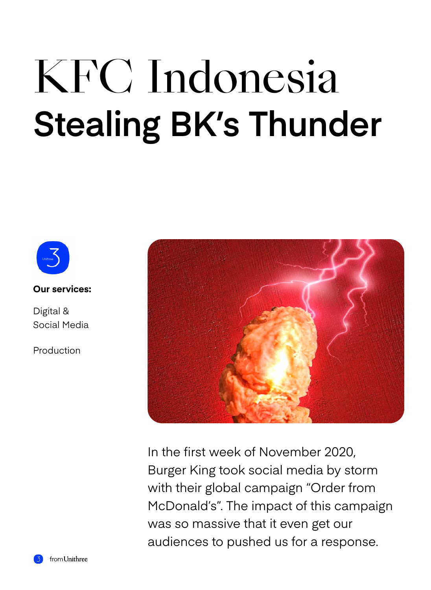## KFC Indonesia **Stealing BK's Thunder**



**Our services:** 

Digital & Social Media

Production



In the first week of November 2020, Burger King took social media by storm with their global campaign "Order from McDonald's". The impact of this campaign was so massive that it even get our audiences to pushed us for a response.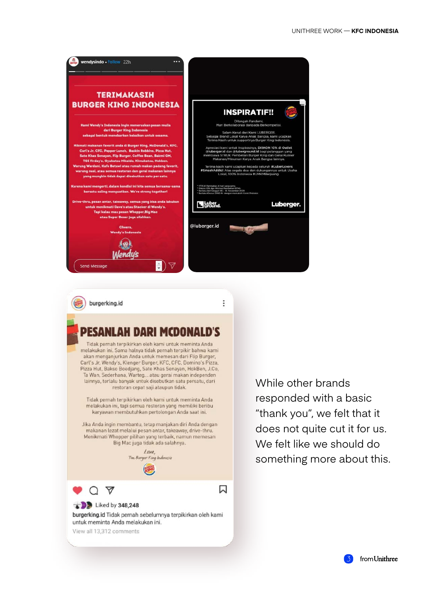



burgerking.id

Q A

Liked by 348,248

View all 13,312 comments

untuk meminta Anda melakukan ini.

Tidak pernah terpikirkan oleh kami untuk meminta Anda melakukan ini. Sama halnya tidak pernah terpikir bahwa kami akan menganjurkan Anda untuk memesan dari Flip Burger, Carl's Jr, Wendy's, Klenger Burger, KFC, CFC, Domino's Pizza, Pizza Hut, Bakso Boedjang, Sate Khas Senayan, HokBen, J.Co. Ta Wan, Sederhana, Warteg... atau gerai makan independen lainnya, terlalu banyak untuk disebutkan satu persatu, dari restoran cepat saji ataupun tidak.

Tidak pernah terpikirkan oleh kami untuk meminta Anda melakukan ini, tapi semua restoran yang memiliki beribu karyawan membutuhkan pertolongan Anda saat ini.

Jika Anda ingin membantu, tetap manjakan diri Anda dengan makanan lezat melalui pesan antar, takeaway, drive-thru. Menikmati Whopper pilihan yang terbaik, namun memesan Big Mac juga tidak ada salahnya.

> Love, Tim Burger King Indonesia

burgerking.id Tidak pernah sebelumnya terpikirkan oleh kami

闪

ŧ

While other brands responded with a basic "thank you", we felt that it does not quite cut it for us. We felt like we should do something more about this.

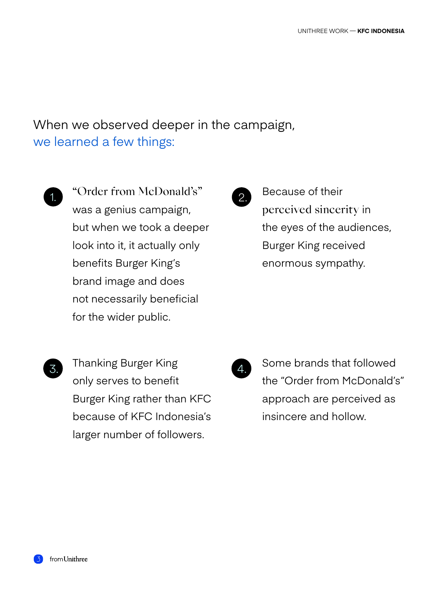When we observed deeper in the campaign, we learned a few things:

"Order from McDonald's" was a genius campaign, but when we took a deeper look into it, it actually only benefits Burger King's brand image and does not necessarily beneficial for the wider public. 1.  $\bigcup_{\text{2}}$   $\bigcup_{\text{2}}$ 



Because of their perceived sincerity in the eyes of the audiences, Burger King received enormous sympathy.

Thanking Burger King only serves to benefit Burger King rather than KFC because of KFC Indonesia's larger number of followers.  $\mathcal{S}$ . Thanking burger range  $\mathcal{A}$ .



Some brands that followed the "Order from McDonald's" approach are perceived as insincere and hollow.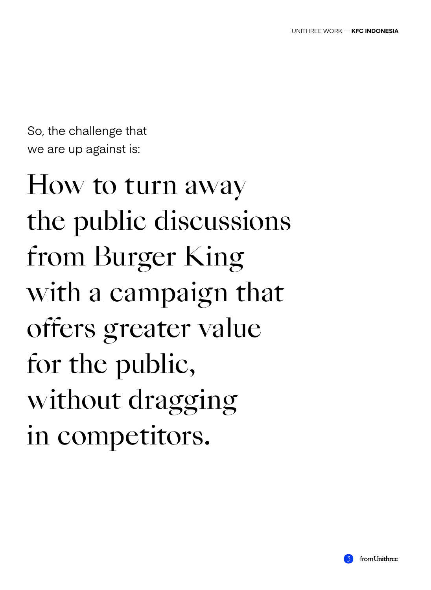So, the challenge that we are up against is:

How to turn away the public discussions from Burger King with a campaign that offers greater value for the public, without dragging in competitors.

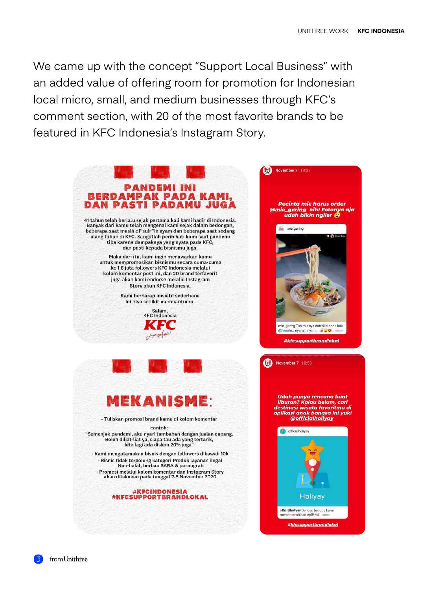We came up with the concept "Support Local Business" with an added value of offering room for promotion for Indonesian local micro, small, and medium businesses through KFC's comment section, with 20 of the most favorite brands to be featured in KFC Indonesia's Instagram Story.